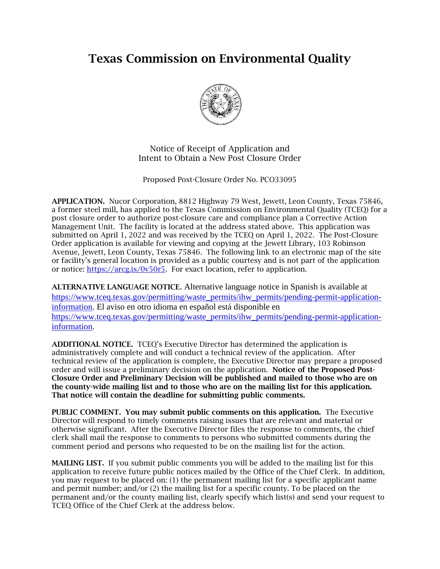## Texas Commission on Environmental Quality



Notice of Receipt of Application and Intent to Obtain a New Post Closure Order

Proposed Post-Closure Order No. PCO33095

APPLICATION. Nucor Corporation, 8812 Highway 79 West, Jewett, Leon County, Texas 75846, a former steel mill, has applied to the Texas Commission on Environmental Quality (TCEQ) for a post closure order to authorize post-closure care and compliance plan a Corrective Action Management Unit. The facility is located at the address stated above. This application was submitted on April 1, 2022 and was received by the TCEQ on April 1, 2022. The Post-Closure Order application is available for viewing and copying at the Jewett Library, 103 Robinson Avenue, Jewett, Leon County, Texas 75846*.* The following link to an electronic map of the site or facility's general location is provided as a public courtesy and is not part of the application or notice: [https://arcg.is/0v50r5.](https://arcg.is/0v50r5) For exact location, refer to application.

ALTERNATIVE LANGUAGE NOTICE. Alternative language notice in Spanish is available at [https://www.tceq.texas.gov/permitting/waste\\_permits/ihw\\_permits/pending-permit-application](https://www.tceq.texas.gov/permitting/waste_permits/ihw_permits/pending-permit-application-information)[information.](https://www.tceq.texas.gov/permitting/waste_permits/ihw_permits/pending-permit-application-information) El aviso en otro idioma en español está disponible en [https://www.tceq.texas.gov/permitting/waste\\_permits/ihw\\_permits/pending-permit-application](https://www.tceq.texas.gov/permitting/waste_permits/ihw_permits/pending-permit-application-information)[information.](https://www.tceq.texas.gov/permitting/waste_permits/ihw_permits/pending-permit-application-information)

ADDITIONAL NOTICE. TCEQ's Executive Director has determined the application is administratively complete and will conduct a technical review of the application. After technical review of the application is complete, the Executive Director may prepare a proposed order and will issue a preliminary decision on the application. Notice of the Proposed Post-Closure Order and Preliminary Decision will be published and mailed to those who are on the county-wide mailing list and to those who are on the mailing list for this application. That notice will contain the deadline for submitting public comments.

PUBLIC COMMENT. You may submit public comments on this application. The Executive Director will respond to timely comments raising issues that are relevant and material or otherwise significant. After the Executive Director files the response to comments, the chief clerk shall mail the response to comments to persons who submitted comments during the comment period and persons who requested to be on the mailing list for the action.

MAILING LIST. If you submit public comments you will be added to the mailing list for this application to receive future public notices mailed by the Office of the Chief Clerk. In addition, you may request to be placed on: (1) the permanent mailing list for a specific applicant name and permit number; and/or (2) the mailing list for a specific county. To be placed on the permanent and/or the county mailing list, clearly specify which list(s) and send your request to TCEQ Office of the Chief Clerk at the address below.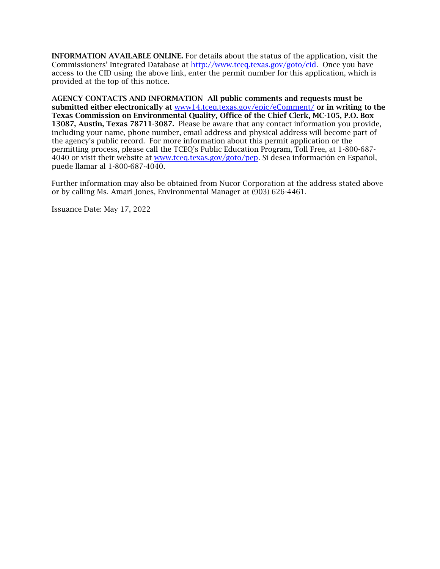INFORMATION AVAILABLE ONLINE. For details about the status of the application, visit the Commissioners' Integrated Database at [http://www.tceq.texas.gov/goto/cid.](http://www.tceq.texas.gov/goto/cid) Once you have access to the CID using the above link, enter the permit number for this application, which is provided at the top of this notice.

AGENCY CONTACTS AND INFORMATION All public comments and requests must be submitted either electronically at [www14.tceq.texas.gov/epic/eComment/](https://www14.tceq.texas.gov/epic/eComment/) or in writing to the Texas Commission on Environmental Quality, Office of the Chief Clerk, MC-105, P.O. Box 13087, Austin, Texas 78711-3087. Please be aware that any contact information you provide, including your name, phone number, email address and physical address will become part of the agency's public record. For more information about this permit application or the permitting process, please call the TCEQ's Public Education Program, Toll Free, at 1-800-687- 4040 or visit their website at [www.tceq.texas.gov/goto/pep.](http://www.tceq.texas.gov/goto/pep) Si desea información en Español, puede llamar al 1-800-687-4040.

Further information may also be obtained from Nucor Corporation at the address stated above or by calling Ms. Amari Jones, Environmental Manager at (903) 626-4461*.*

Issuance Date: May 17, 2022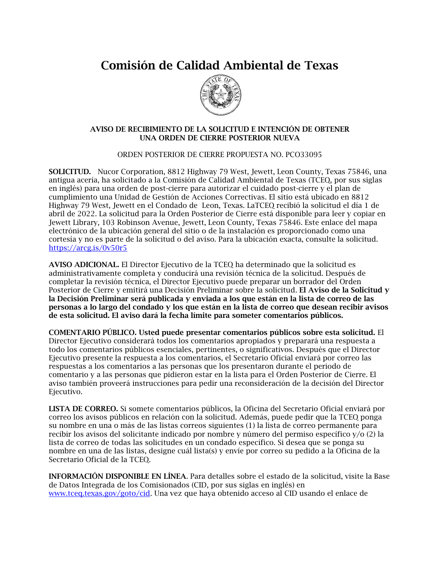Comisión de Calidad Ambiental de Texas



## AVISO DE RECIBIMIENTO DE LA SOLICITUD E INTENCIÓN DE OBTENER UNA ORDEN DE CIERRE POSTERIOR NUEVA

ORDEN POSTERIOR DE CIERRE PROPUESTA NO. PCO33095

SOLICITUD. Nucor Corporation, 8812 Highway 79 West, Jewett, Leon County, Texas 75846, una antigua acería, ha solicitado a la Comisión de Calidad Ambiental de Texas (TCEQ, por sus siglas en inglés) para una orden de post-cierre para autorizar el cuidado post-cierre y el plan de cumplimiento una Unidad de Gestión de Acciones Correctivas. El sitio está ubicado en 8812 Highway 79 West, Jewett en el Condado de Leon, Texas. LaTCEQ recibió la solicitud el día 1 de abril de 2022*.* La solicitud para la Orden Posterior de Cierre está disponible para leer y copiar en Jewett Library, 103 Robinson Avenue, Jewett, Leon County, Texas 75846*.* Este enlace del mapa electrónico de la ubicación general del sitio o de la instalación es proporcionado como una cortesía y no es parte de la solicitud o del aviso. Para la ubicación exacta, consulte la solicitud. <https://arcg.is/0v50r5>

AVISO ADICIONAL. El Director Ejecutivo de la TCEQ ha determinado que la solicitud es administrativamente completa y conducirá una revisión técnica de la solicitud. Después de completar la revisión técnica, el Director Ejecutivo puede preparar un borrador del Orden Posterior de Cierre y emitirá una Decisión Preliminar sobre la solicitud. El Aviso de la Solicitud y la Decisión Preliminar será publicada y enviada a los que están en la lista de correo de las personas a lo largo del condado y los que están en la lista de correo que desean recibir avisos de esta solicitud. El aviso dará la fecha límite para someter comentarios públicos.

COMENTARIO PÚBLICO. Usted puede presentar comentarios públicos sobre esta solicitud. El Director Ejecutivo considerará todos los comentarios apropiados y preparará una respuesta a todo los comentarios públicos esenciales, pertinentes, o significativos. Después que el Director Ejecutivo presente la respuesta a los comentarios, el Secretario Oficial enviará por correo las respuestas a los comentarios a las personas que los presentaron durante el periodo de comentario y a las personas que pidieron estar en la lista para el Orden Posterior de Cierre. El aviso también proveerá instrucciones para pedir una reconsideración de la decisión del Director Ejecutivo.

LISTA DE CORREO. Si somete comentarios públicos, la Oficina del Secretario Oficial enviará por correo los avisos públicos en relación con la solicitud. Además, puede pedir que la TCEQ ponga su nombre en una o más de las listas correos siguientes (1) la lista de correo permanente para recibir los avisos del solicitante indicado por nombre y número del permiso específico y/o (2) la lista de correo de todas las solicitudes en un condado específico. Si desea que se ponga su nombre en una de las listas, designe cuál lista(s) y envíe por correo su pedido a la Oficina de la Secretario Oficial de la TCEQ.

INFORMACIÓN DISPONIBLE EN LÍNEA. Para detalles sobre el estado de la solicitud, visite la Base de Datos Integrada de los Comisionados (CID, por sus siglas en inglés) en [www.tceq.texas.gov/goto/cid.](http://www.tceq.texas.gov/goto/cid) Una vez que haya obtenido acceso al CID usando el enlace de